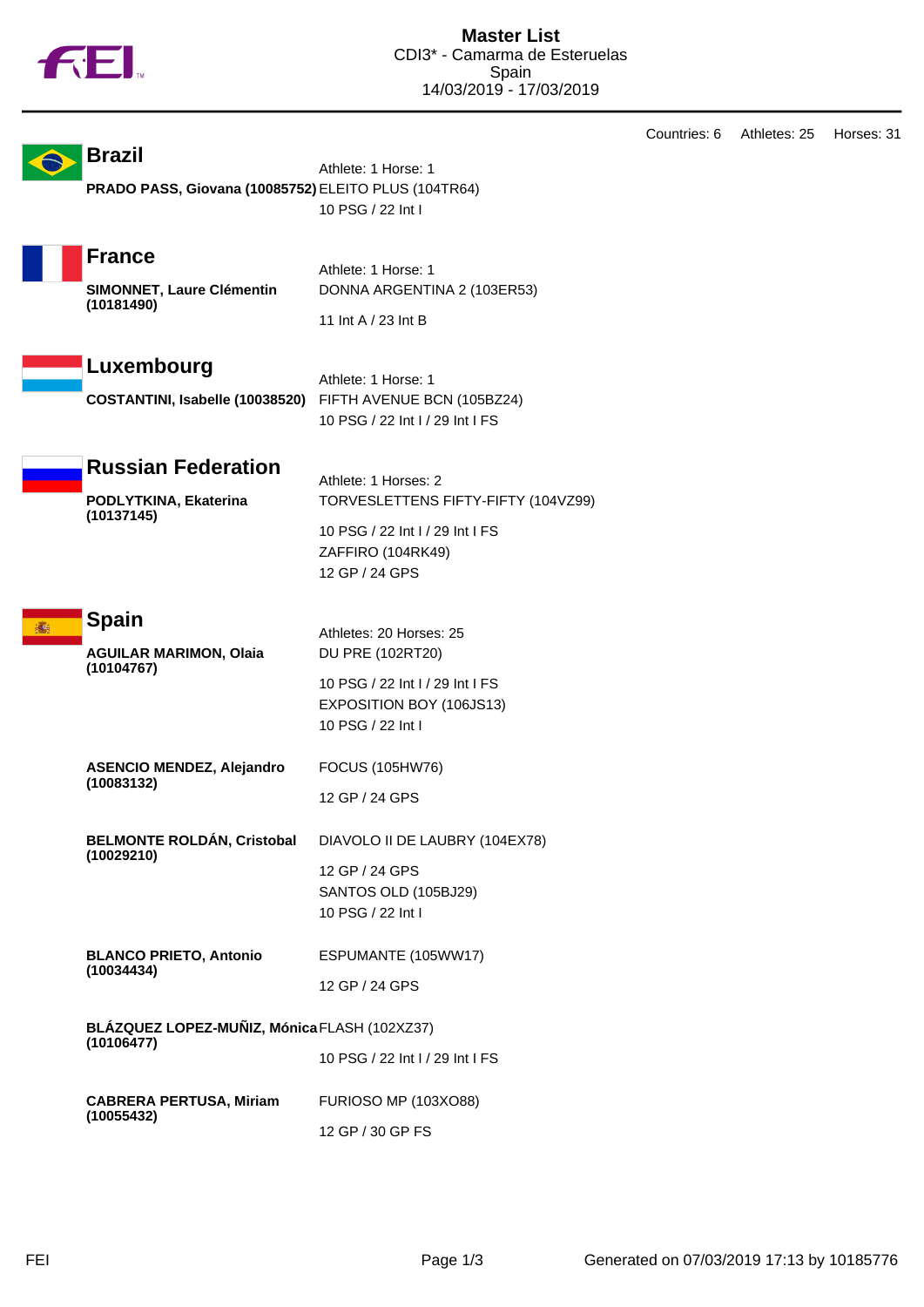

|  |                                                      |                                                             | Countries: 6 | Athletes: 25 | Horses: 31 |
|--|------------------------------------------------------|-------------------------------------------------------------|--------------|--------------|------------|
|  | <b>Brazil</b>                                        | Athlete: 1 Horse: 1                                         |              |              |            |
|  | PRADO PASS, Giovana (10085752) ELEITO PLUS (104TR64) |                                                             |              |              |            |
|  |                                                      | 10 PSG / 22 Int I                                           |              |              |            |
|  | <b>France</b>                                        |                                                             |              |              |            |
|  | SIMONNET, Laure Clémentin<br>(10181490)              | Athlete: 1 Horse: 1                                         |              |              |            |
|  |                                                      | DONNA ARGENTINA 2 (103ER53)                                 |              |              |            |
|  |                                                      | 11 Int A / 23 Int B                                         |              |              |            |
|  | Luxembourg                                           |                                                             |              |              |            |
|  | COSTANTINI, Isabelle (10038520)                      | Athlete: 1 Horse: 1<br>FIFTH AVENUE BCN (105BZ24)           |              |              |            |
|  |                                                      | 10 PSG / 22 Int I / 29 Int I FS                             |              |              |            |
|  |                                                      |                                                             |              |              |            |
|  | <b>Russian Federation</b>                            | Athlete: 1 Horses: 2                                        |              |              |            |
|  | PODLYTKINA, Ekaterina                                | TORVESLETTENS FIFTY-FIFTY (104VZ99)                         |              |              |            |
|  | (10137145)                                           | 10 PSG / 22 Int I / 29 Int I FS                             |              |              |            |
|  |                                                      | ZAFFIRO (104RK49)                                           |              |              |            |
|  |                                                      | 12 GP / 24 GPS                                              |              |              |            |
|  | <b>Spain</b>                                         |                                                             |              |              |            |
|  | <b>AGUILAR MARIMON, Olaia</b><br>(10104767)          | Athletes: 20 Horses: 25<br>DU PRE (102RT20)                 |              |              |            |
|  |                                                      |                                                             |              |              |            |
|  |                                                      | 10 PSG / 22 Int I / 29 Int I FS<br>EXPOSITION BOY (106JS13) |              |              |            |
|  |                                                      | 10 PSG / 22 Int I                                           |              |              |            |
|  |                                                      |                                                             |              |              |            |
|  | <b>ASENCIO MENDEZ, Alejandro</b><br>(10083132)       | FOCUS (105HW76)                                             |              |              |            |
|  |                                                      | 12 GP / 24 GPS                                              |              |              |            |
|  | <b>BELMONTE ROLDÁN, Cristobal</b>                    | DIAVOLO II DE LAUBRY (104EX78)                              |              |              |            |
|  | (10029210)                                           | 12 GP / 24 GPS                                              |              |              |            |
|  |                                                      | SANTOS OLD (105BJ29)                                        |              |              |            |
|  |                                                      | 10 PSG / 22 Int I                                           |              |              |            |
|  | <b>BLANCO PRIETO, Antonio</b>                        | ESPUMANTE (105WW17)                                         |              |              |            |
|  | (10034434)                                           | 12 GP / 24 GPS                                              |              |              |            |
|  | BLÁZQUEZ LOPEZ-MUÑIZ, Mónica FLASH (102XZ37)         |                                                             |              |              |            |
|  | (10106477)                                           |                                                             |              |              |            |
|  |                                                      | 10 PSG / 22 Int I / 29 Int I FS                             |              |              |            |
|  | <b>CABRERA PERTUSA, Miriam</b>                       | <b>FURIOSO MP (103XO88)</b>                                 |              |              |            |
|  | (10055432)                                           | 12 GP / 30 GP FS                                            |              |              |            |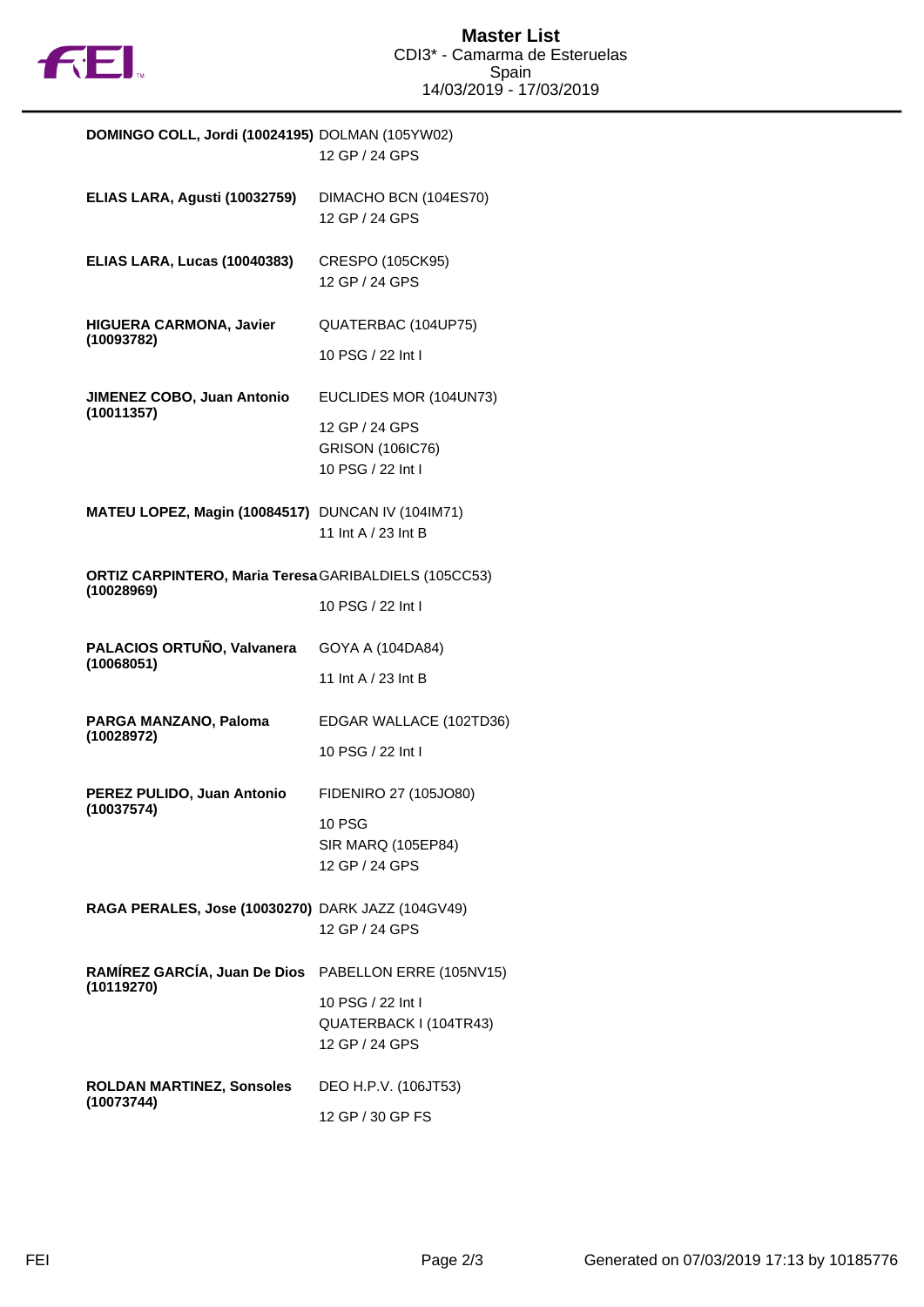

| DOMINGO COLL, Jordi (10024195) DOLMAN (105YW02)                     | 12 GP / 24 GPS                                                                           |
|---------------------------------------------------------------------|------------------------------------------------------------------------------------------|
| ELIAS LARA, Agusti (10032759)                                       | DIMACHO BCN (104ES70)<br>12 GP / 24 GPS                                                  |
| ELIAS LARA, Lucas (10040383)                                        | CRESPO (105CK95)<br>12 GP / 24 GPS                                                       |
| <b>HIGUERA CARMONA, Javier</b><br>(10093782)                        | QUATERBAC (104UP75)<br>10 PSG / 22 Int I                                                 |
| JIMENEZ COBO, Juan Antonio<br>(10011357)                            | EUCLIDES MOR (104UN73)<br>12 GP / 24 GPS<br><b>GRISON (106IC76)</b><br>10 PSG / 22 Int I |
| MATEU LOPEZ, Magin (10084517) DUNCAN IV (104IM71)                   | 11 Int A / 23 Int B                                                                      |
| ORTIZ CARPINTERO, Maria Teresa GARIBALDIELS (105CC53)<br>(10028969) | 10 PSG / 22 Int I                                                                        |
| PALACIOS ORTUÑO, Valvanera<br>(10068051)                            | GOYA A (104DA84)<br>11 Int A / 23 Int B                                                  |
| PARGA MANZANO, Paloma<br>(10028972)                                 | EDGAR WALLACE (102TD36)<br>10 PSG / 22 Int I                                             |
| PEREZ PULIDO, Juan Antonio<br>(10037574)                            | FIDENIRO 27 (105JO80)<br><b>10 PSG</b><br>SIR MARQ (105EP84)<br>12 GP / 24 GPS           |
| RAGA PERALES, Jose (10030270) DARK JAZZ (104GV49)                   | 12 GP / 24 GPS                                                                           |
| RAMÍREZ GARCÍA, Juan De Dios PABELLON ERRE (105NV15)<br>(10119270)  | 10 PSG / 22 Int I<br>QUATERBACK I (104TR43)<br>12 GP / 24 GPS                            |
| <b>ROLDAN MARTINEZ, Sonsoles</b><br>(10073744)                      | DEO H.P.V. (106JT53)<br>12 GP / 30 GP FS                                                 |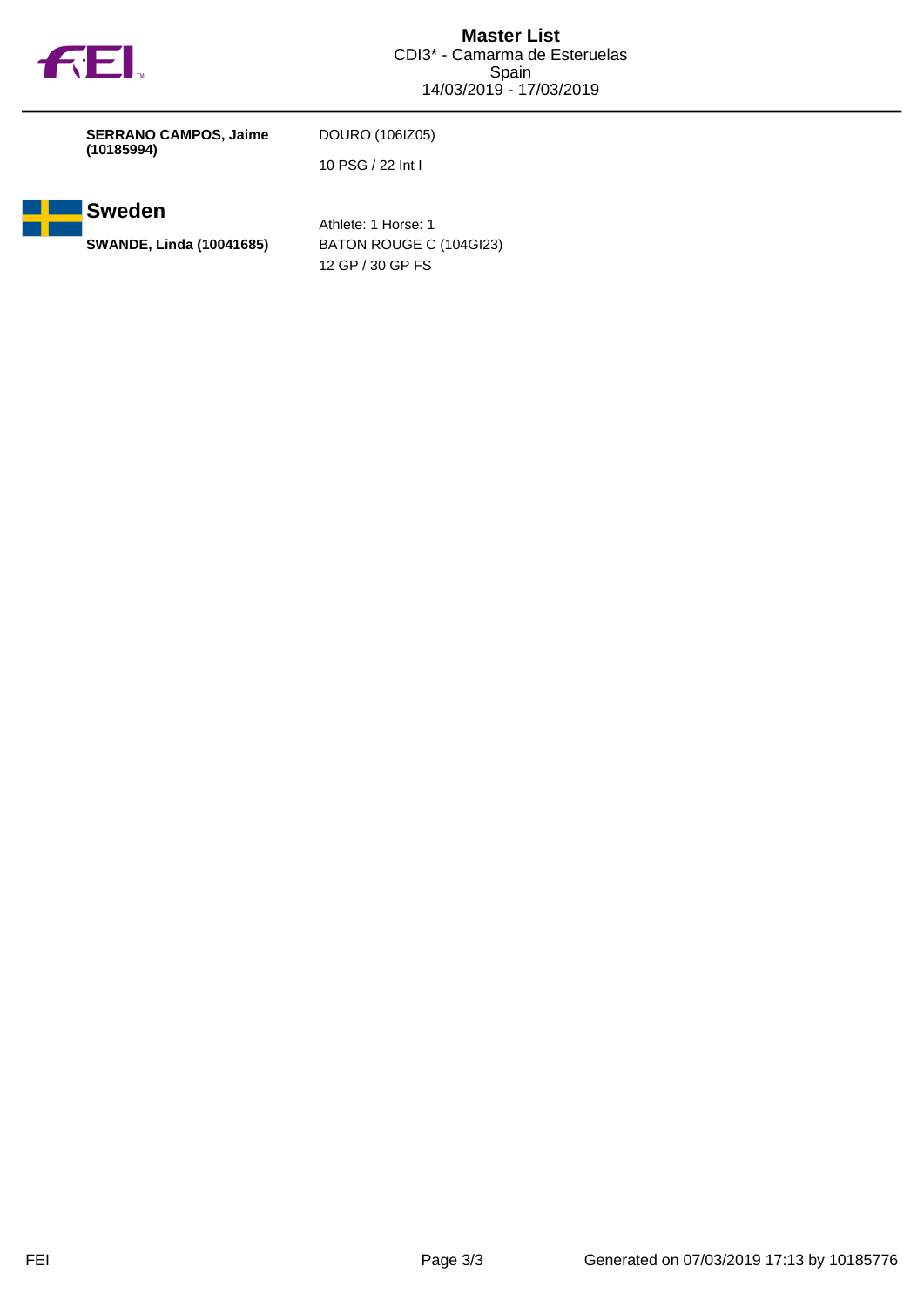

| <b>SERRANO CAMPOS, Jaime</b><br>(10185994) | DOURO (1061Z05)   |
|--------------------------------------------|-------------------|
|                                            | 10 PSG / 22 Int I |



Athlete: 1 Horse: 1 **SWANDE, Linda (10041685)** BATON ROUGE C (104GI23) 12 GP / 30 GP FS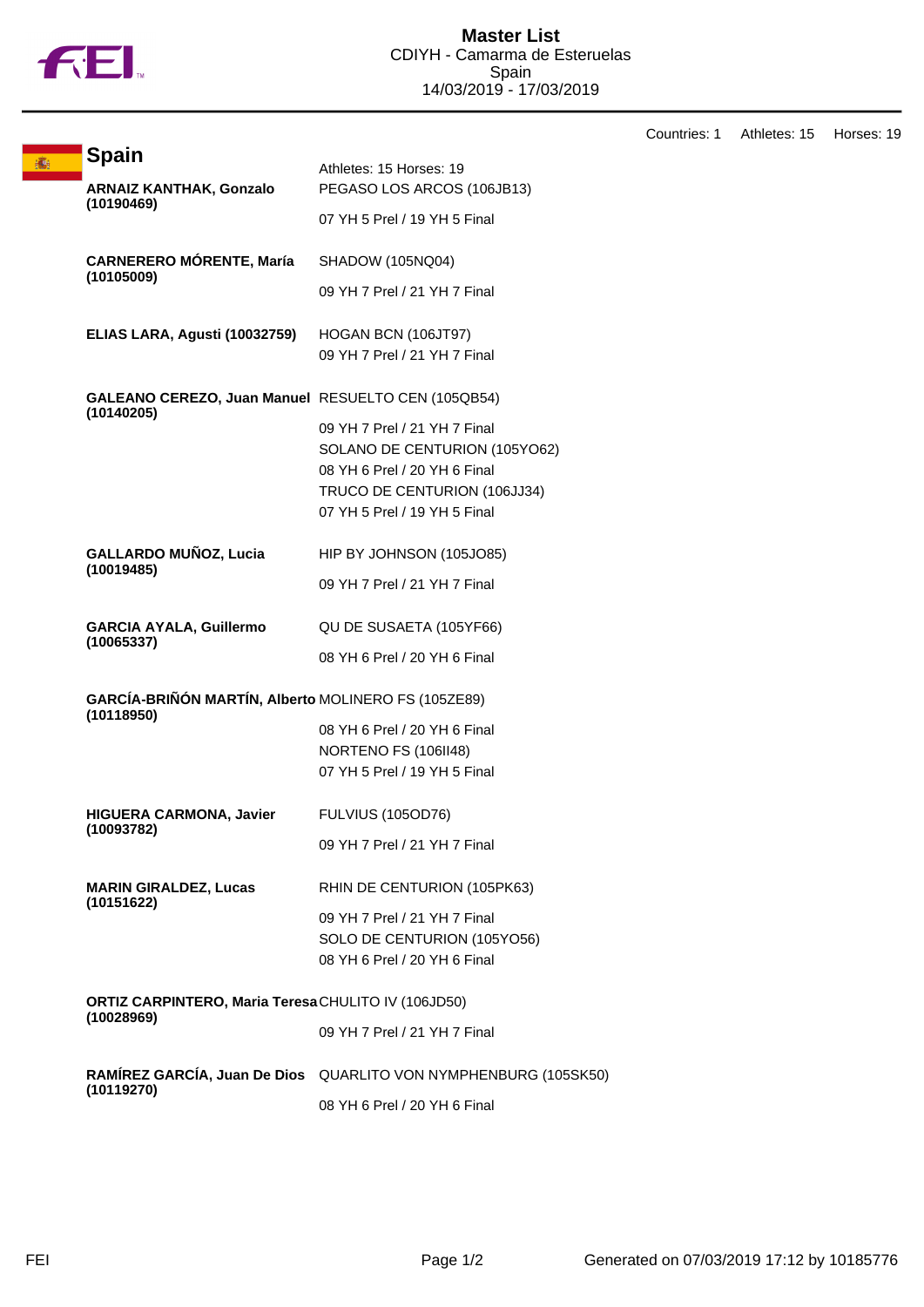

Countries: 1 Athletes: 15 Horses: 19 **Spain** Athletes: 15 Horses: 19 **ARNAIZ KANTHAK, Gonzalo (10190469)** PEGASO LOS ARCOS (106JB13) 07 YH 5 Prel / 19 YH 5 Final **CARNERERO MÓRENTE, María (10105009)** SHADOW (105NQ04) 09 YH 7 Prel / 21 YH 7 Final **ELIAS LARA, Agusti (10032759)** HOGAN BCN (106JT97) 09 YH 7 Prel / 21 YH 7 Final **GALEANO CEREZO, Juan Manuel** RESUELTO CEN (105QB54) **(10140205)** 09 YH 7 Prel / 21 YH 7 Final SOLANO DE CENTURION (105YO62) 08 YH 6 Prel / 20 YH 6 Final TRUCO DE CENTURION (106JJ34) 07 YH 5 Prel / 19 YH 5 Final **GALLARDO MUÑOZ, Lucia (10019485)** HIP BY JOHNSON (105JO85) 09 YH 7 Prel / 21 YH 7 Final **GARCIA AYALA, Guillermo (10065337)** QU DE SUSAETA (105YF66) 08 YH 6 Prel / 20 YH 6 Final **GARCÍA-BRIÑÓN MARTÍN, Alberto** MOLINERO FS (105ZE89) **(10118950)** 08 YH 6 Prel / 20 YH 6 Final NORTENO FS (106II48) 07 YH 5 Prel / 19 YH 5 Final **HIGUERA CARMONA, Javier (10093782)** FULVIUS (105OD76) 09 YH 7 Prel / 21 YH 7 Final **MARIN GIRALDEZ, Lucas (10151622)** RHIN DE CENTURION (105PK63) 09 YH 7 Prel / 21 YH 7 Final SOLO DE CENTURION (105YO56) 08 YH 6 Prel / 20 YH 6 Final **ORTIZ CARPINTERO, Maria Teresa** CHULITO IV (106JD50) **(10028969)** 09 YH 7 Prel / 21 YH 7 Final **RAMÍREZ GARCÍA, Juan De Dios** QUARLITO VON NYMPHENBURG (105SK50) **(10119270)** 08 YH 6 Prel / 20 YH 6 Final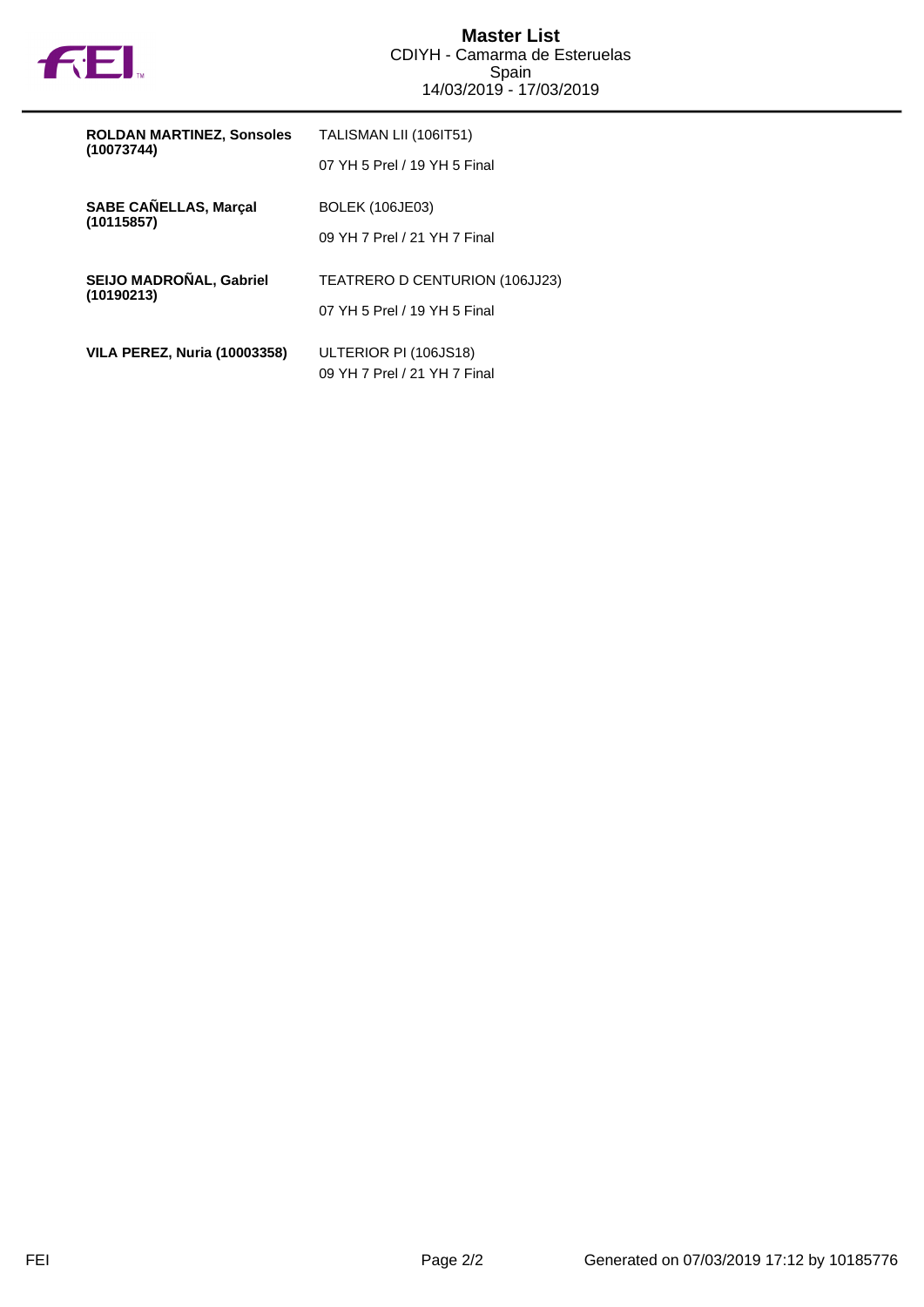

| <b>ROLDAN MARTINEZ, Sonsoles</b><br>(10073744) | TALISMAN LII (106IT51)         |
|------------------------------------------------|--------------------------------|
|                                                | 07 YH 5 Prel / 19 YH 5 Final   |
| <b>SABE CANELLAS, Marçal</b>                   | <b>BOLEK (106JE03)</b>         |
| (10115857)                                     | 09 YH 7 Prel / 21 YH 7 Final   |
| SEIJO MADROÑAL, Gabriel                        | TEATRERO D CENTURION (106JJ23) |
| (10190213)                                     | 07 YH 5 Prel / 19 YH 5 Final   |
| <b>VILA PEREZ, Nuria (10003358)</b>            | ULTERIOR PI (106JS18)          |
|                                                | 09 YH 7 Prel / 21 YH 7 Final   |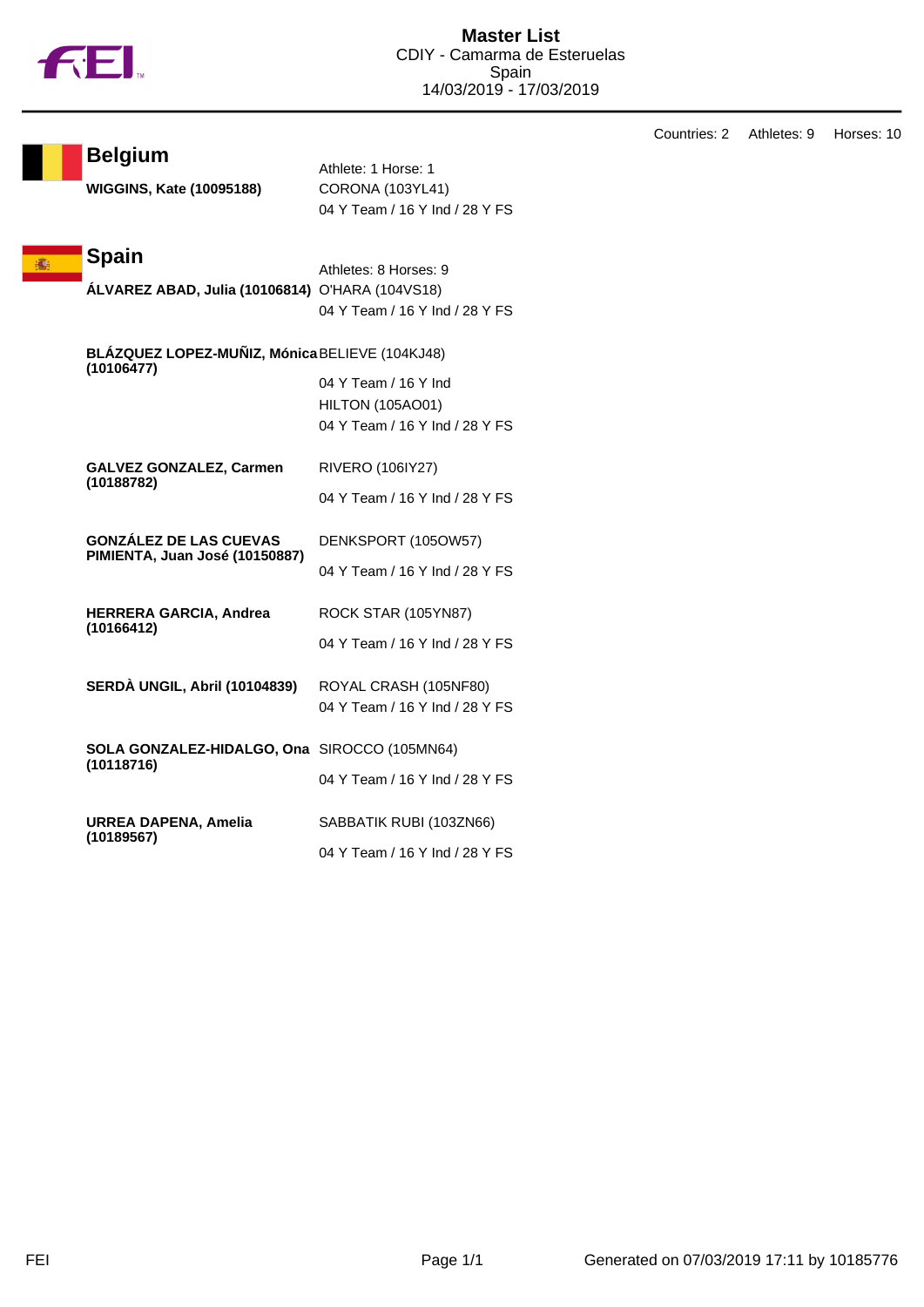

|                                                              |                                | Countries: 2 | Athletes: 9 | Horses: 10 |
|--------------------------------------------------------------|--------------------------------|--------------|-------------|------------|
| <b>Belgium</b>                                               |                                |              |             |            |
|                                                              | Athlete: 1 Horse: 1            |              |             |            |
| <b>WIGGINS, Kate (10095188)</b>                              | <b>CORONA (103YL41)</b>        |              |             |            |
|                                                              | 04 Y Team / 16 Y Ind / 28 Y FS |              |             |            |
| <b>Spain</b>                                                 |                                |              |             |            |
|                                                              | Athletes: 8 Horses: 9          |              |             |            |
| ÁLVAREZ ABAD, Julia (10106814) O'HARA (104VS18)              |                                |              |             |            |
|                                                              | 04 Y Team / 16 Y Ind / 28 Y FS |              |             |            |
| BLÁZQUEZ LOPEZ-MUÑIZ, Mónica BELIEVE (104KJ48)<br>(10106477) |                                |              |             |            |
|                                                              | 04 Y Team / 16 Y Ind           |              |             |            |
|                                                              | <b>HILTON (105AO01)</b>        |              |             |            |
|                                                              | 04 Y Team / 16 Y Ind / 28 Y FS |              |             |            |
| <b>GALVEZ GONZALEZ, Carmen</b>                               | <b>RIVERO (106IY27)</b>        |              |             |            |
| (10188782)                                                   | 04 Y Team / 16 Y Ind / 28 Y FS |              |             |            |
| <b>GONZÁLEZ DE LAS CUEVAS</b>                                | DENKSPORT (105OW57)            |              |             |            |
| PIMIENTA, Juan José (10150887)                               |                                |              |             |            |
|                                                              | 04 Y Team / 16 Y Ind / 28 Y FS |              |             |            |
| HERRERA GARCIA, Andrea                                       | ROCK STAR (105YN87)            |              |             |            |
| (10166412)                                                   | 04 Y Team / 16 Y Ind / 28 Y FS |              |             |            |
|                                                              |                                |              |             |            |
| <b>SERDÀ UNGIL, Abril (10104839)</b>                         | ROYAL CRASH (105NF80)          |              |             |            |
|                                                              | 04 Y Team / 16 Y Ind / 28 Y FS |              |             |            |
| SOLA GONZALEZ-HIDALGO, Ona SIROCCO (105MN64)                 |                                |              |             |            |
| (10118716)                                                   | 04 Y Team / 16 Y Ind / 28 Y FS |              |             |            |
|                                                              |                                |              |             |            |
| <b>URREA DAPENA, Amelia</b>                                  | SABBATIK RUBI (103ZN66)        |              |             |            |
| (10189567)                                                   | 04 Y Team / 16 Y Ind / 28 Y FS |              |             |            |
|                                                              |                                |              |             |            |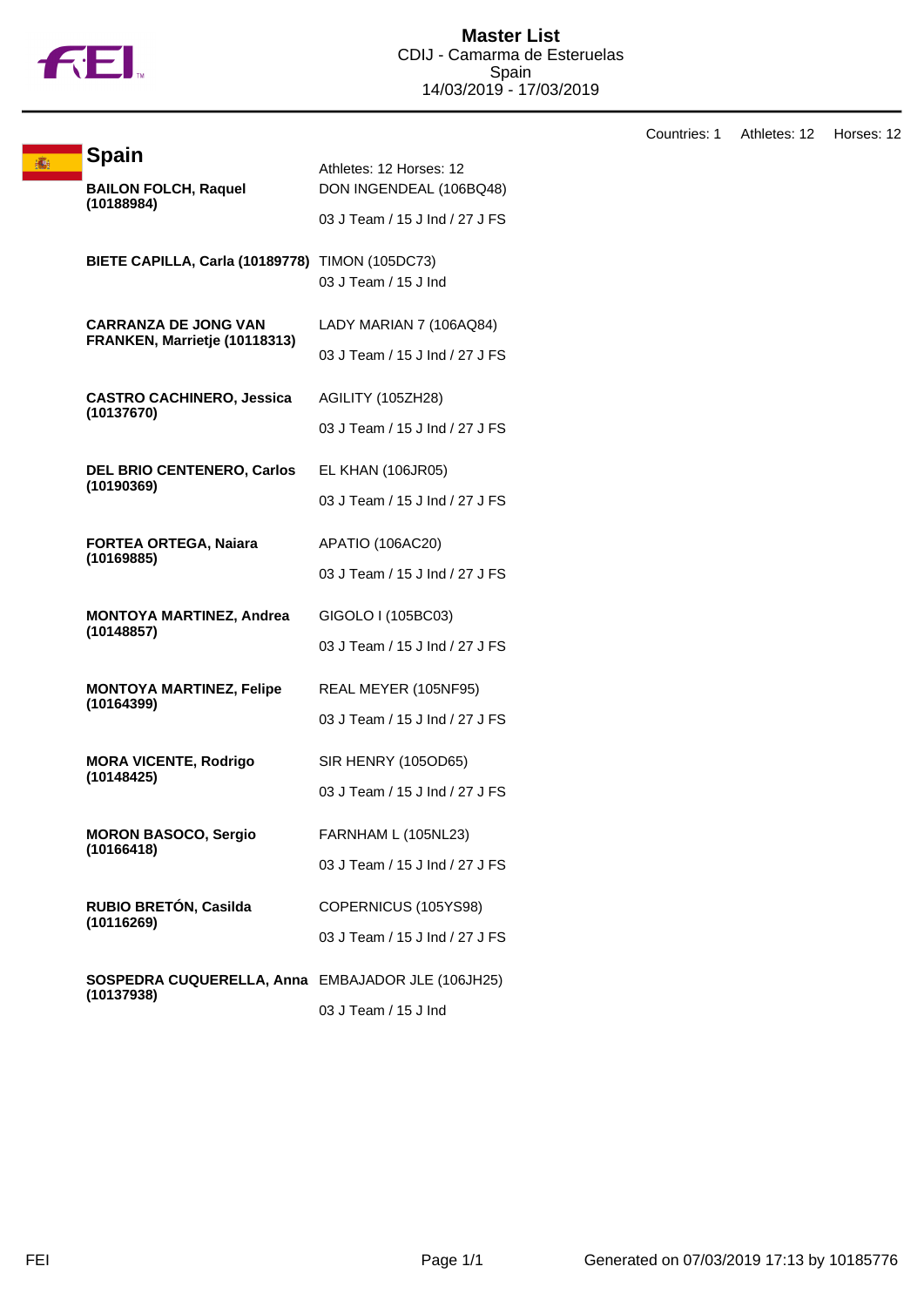

|  | <b>Spain</b>                                                 |                                                    |
|--|--------------------------------------------------------------|----------------------------------------------------|
|  | <b>BAILON FOLCH, Raquel</b><br>(10188984)                    | Athletes: 12 Horses: 12<br>DON INGENDEAL (106BQ48) |
|  |                                                              | 03 J Team / 15 J Ind / 27 J FS                     |
|  |                                                              |                                                    |
|  | BIETE CAPILLA, Carla (10189778) TIMON (105DC73)              |                                                    |
|  |                                                              | 03 J Team / 15 J Ind                               |
|  | <b>CARRANZA DE JONG VAN</b><br>FRANKEN, Marrietje (10118313) | LADY MARIAN 7 (106AQ84)                            |
|  |                                                              | 03 J Team / 15 J Ind / 27 J FS                     |
|  | <b>CASTRO CACHINERO, Jessica</b>                             | AGILITY (105ZH28)                                  |
|  | (10137670)                                                   | 03 J Team / 15 J Ind / 27 J FS                     |
|  | <b>DEL BRIO CENTENERO, Carlos</b>                            | <b>EL KHAN (106JR05)</b>                           |
|  | (10190369)                                                   | 03 J Team / 15 J Ind / 27 J FS                     |
|  | <b>FORTEA ORTEGA, Naiara</b>                                 | APATIO (106AC20)                                   |
|  | (10169885)                                                   | 03 J Team / 15 J Ind / 27 J FS                     |
|  | <b>MONTOYA MARTINEZ, Andrea</b>                              | GIGOLO I (105BC03)                                 |
|  | (10148857)                                                   | 03 J Team / 15 J Ind / 27 J FS                     |
|  | <b>MONTOYA MARTINEZ, Felipe</b>                              | REAL MEYER (105NF95)                               |
|  | (10164399)                                                   | 03 J Team / 15 J Ind / 27 J FS                     |
|  | <b>MORA VICENTE, Rodrigo</b>                                 | SIR HENRY (105OD65)                                |
|  | (10148425)                                                   | 03 J Team / 15 J Ind / 27 J FS                     |
|  | <b>MORON BASOCO, Sergio</b>                                  | FARNHAM L (105NL23)                                |
|  | (10166418)                                                   | 03 J Team / 15 J Ind / 27 J FS                     |
|  | RUBIO BRETÓN, Casilda                                        | COPERNICUS (105YS98)                               |
|  | (10116269)                                                   | 03 J Team / 15 J Ind / 27 J FS                     |
|  | SOSPEDRA CUQUERELLA, Anna EMBAJADOR JLE (106JH25)            |                                                    |
|  | (10137938)                                                   | 03 J Team / 15 J Ind                               |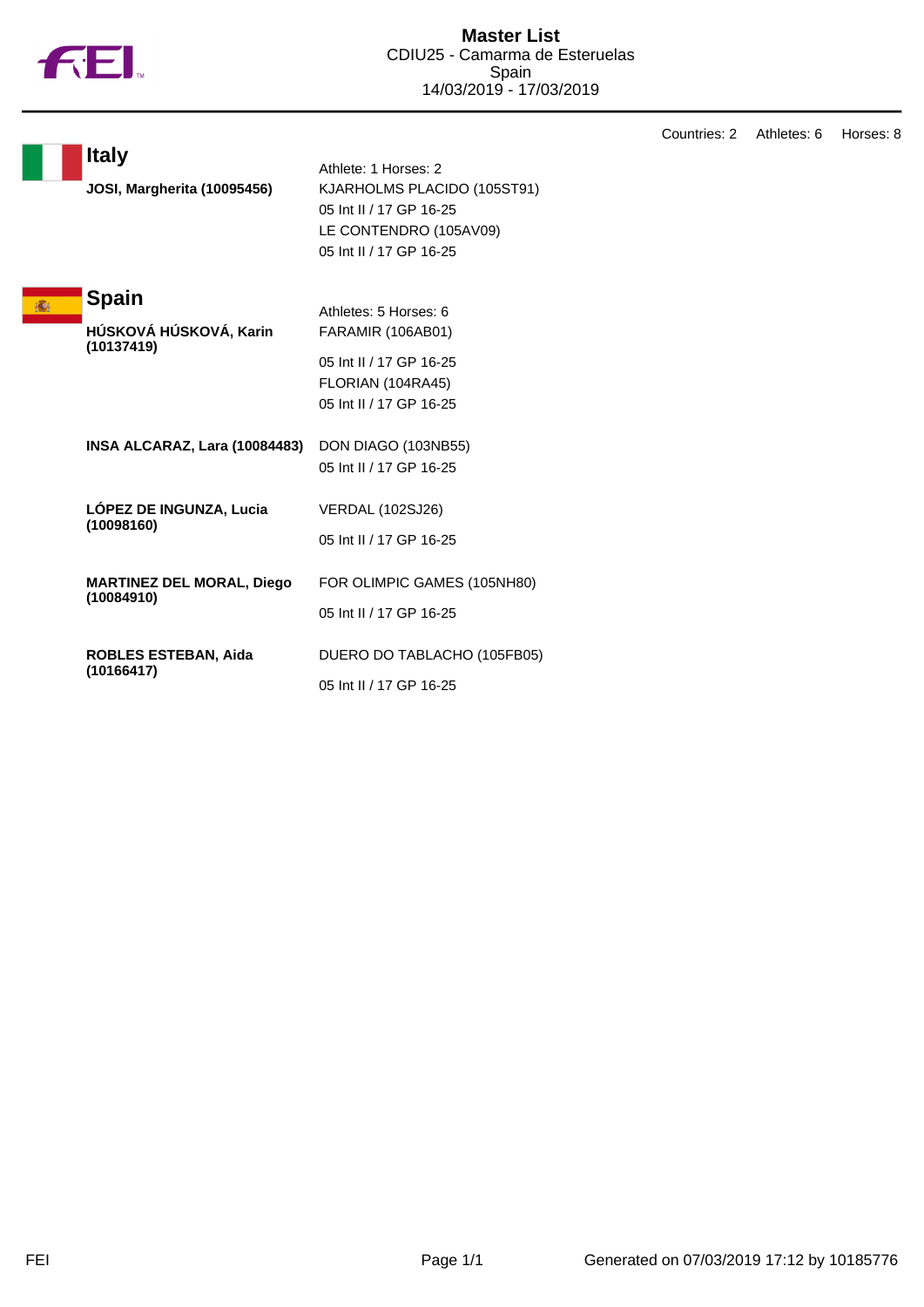

|                                                    |                                                                                                                                     | Countries: 2 | Athletes: 6 | Horses: 8 |
|----------------------------------------------------|-------------------------------------------------------------------------------------------------------------------------------------|--------------|-------------|-----------|
| <b>Italy</b><br><b>JOSI, Margherita (10095456)</b> | Athlete: 1 Horses: 2<br>KJARHOLMS PLACIDO (105ST91)<br>05 Int II / 17 GP 16-25<br>LE CONTENDRO (105AV09)<br>05 Int II / 17 GP 16-25 |              |             |           |
| <b>Spain</b><br>HÚSKOVÁ HÚSKOVÁ, Karin             | Athletes: 5 Horses: 6<br><b>FARAMIR (106AB01)</b>                                                                                   |              |             |           |
| (10137419)                                         | 05 Int II / 17 GP 16-25<br>FLORIAN (104RA45)<br>05 Int II / 17 GP 16-25                                                             |              |             |           |
| INSA ALCARAZ, Lara (10084483)                      | DON DIAGO (103NB55)<br>05 Int II / 17 GP 16-25                                                                                      |              |             |           |
| LÓPEZ DE INGUNZA, Lucia<br>(10098160)              | <b>VERDAL (102SJ26)</b><br>05 Int II / 17 GP 16-25                                                                                  |              |             |           |
| <b>MARTINEZ DEL MORAL, Diego</b><br>(10084910)     | FOR OLIMPIC GAMES (105NH80)<br>05 Int II / 17 GP 16-25                                                                              |              |             |           |
| <b>ROBLES ESTEBAN, Aida</b><br>(10166417)          | DUERO DO TABLACHO (105FB05)<br>05 Int II / 17 GP 16-25                                                                              |              |             |           |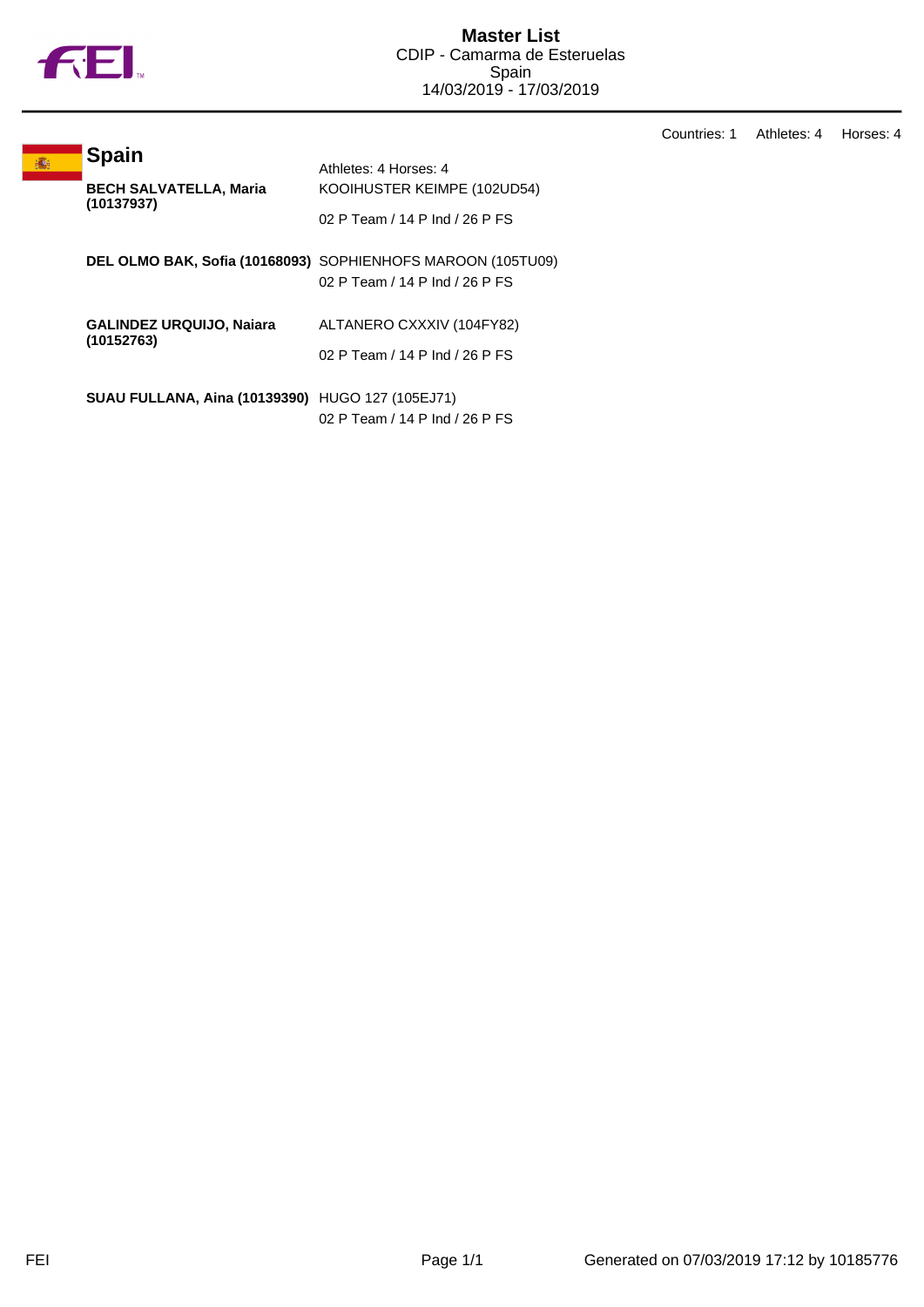

高

Countries: 1 Athletes: 4 Horses: 4

| <b>BECH SALVATELLA, Maria</b><br>KOOIHUSTER KEIMPE (102UD54)<br>(10137937)<br>02 P Team / 14 P Ind / 26 P FS<br>DEL OLMO BAK, Sofia (10168093) SOPHIENHOFS MAROON (105TU09)<br>02 P Team / 14 P Ind / 26 P FS<br><b>GALINDEZ URQUIJO, Najara</b><br>ALTANERO CXXXIV (104FY82)<br>(10152763)<br>02 P Team / 14 P Ind / 26 P FS<br><b>SUAU FULLANA, Aina (10139390)</b> HUGO 127 (105EJ71) |  | <b>Spain</b> |                       |
|------------------------------------------------------------------------------------------------------------------------------------------------------------------------------------------------------------------------------------------------------------------------------------------------------------------------------------------------------------------------------------------|--|--------------|-----------------------|
|                                                                                                                                                                                                                                                                                                                                                                                          |  |              | Athletes: 4 Horses: 4 |
|                                                                                                                                                                                                                                                                                                                                                                                          |  |              |                       |
|                                                                                                                                                                                                                                                                                                                                                                                          |  |              |                       |
|                                                                                                                                                                                                                                                                                                                                                                                          |  |              |                       |
|                                                                                                                                                                                                                                                                                                                                                                                          |  |              |                       |
|                                                                                                                                                                                                                                                                                                                                                                                          |  |              |                       |
|                                                                                                                                                                                                                                                                                                                                                                                          |  |              |                       |
|                                                                                                                                                                                                                                                                                                                                                                                          |  |              |                       |
|                                                                                                                                                                                                                                                                                                                                                                                          |  |              |                       |
| 02 P Team / 14 P Ind / 26 P FS                                                                                                                                                                                                                                                                                                                                                           |  |              |                       |